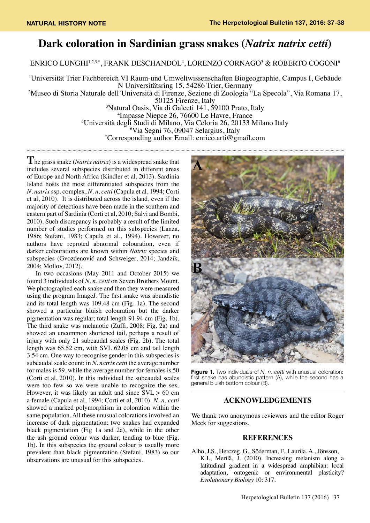## **Dark coloration in Sardinian grass snakes (***Natrix natrix cetti***)**

ENRICO LUNGHI'<sup>1,2,3,\*</sup>, FRANK DESCHANDOL<sup>4</sup>, LORENZO CORNAGO<sup>5</sup> & ROBERTO COGONI<sup>6</sup>

 Universität Trier Fachbereich VI Raum-und Umweltwissenschaften Biogeographie, Campus I, Gebäude N Universitätsring 15, 54286 Trier, Germany Museo di Storia Naturale dell'Università di Firenze, Sezione di Zoologia "La Specola", Via Romana 17, 50125 Firenze, Italy Natural Oasis, Via di Galceti 141, 59100 Prato, Italy Impasse Niepce 26, 76600 Le Havre, France Università degli Studi di Milano, Via Celoria 26, 20133 Milano Italy Via Segni 76, 09047 Selargius, Italy \* Corresponding author Email: enrico.arti@gmail.com

**T**he grass snake (*Natrix natrix*) is a widespread snake that includes several subspecies distributed in different areas of Europe and North Africa (Kindler et al, 2013). Sardinia Island hosts the most differentiated subspecies from the *N. natrix* ssp. complex, *N. n. cetti* (Capula et al, 1994; Corti et al, 2010). It is distributed across the island, even if the majority of detections have been made in the southern and eastern part of Sardinia (Corti et al, 2010; Salvi and Bombi, 2010). Such discrepancy is probably a result of the limited number of studies performed on this subspecies (Lanza, 1986; Stefani, 1983; Capula et al., 1994). However, no authors have reproted abnormal colouration, even if darker colourations are known within *Natrix* species and subspecies (Gvozdenović and Schweiger, 2014; Jandzík, 2004; Mollov, 2012).

 In two occasions (May 2011 and October 2015) we found 3 individuals of *N. n. cetti* on Seven Brothers Mount. We photographed each snake and then they were measured using the program ImageJ. The first snake was abundistic and its total length was 109.48 cm (Fig. 1a). The second showed a particular bluish colouration but the darker pigmentation was regular; total length 91.94 cm (Fig. 1b). The third snake was melanotic (Zuffi, 2008; Fig. 2a) and showed an uncommon shortened tail, perhaps a result of injury with only 21 subcaudal scales (Fig. 2b). The total length was 65.52 cm, with SVL 62.08 cm and tail length 3.54 cm. One way to recognise gender in this subspecies is subcaudal scale count: in *N. natrix cetti* the average number for males is 59, while the average number for females is 50 (Corti et al, 2010). In this individual the subcaudal scales were too few so we were unable to recognize the sex. However, it was likely an adult and since  $SVL > 60$  cm a female (Capula et al, 1994; Corti et al, 2010). *N. n. cetti* showed a marked polymorphism in coloration within the same population. All these unusual colorations involved an increase of dark pigmentation: two snakes had expanded black pigmentation (Fig 1a and 2a), while in the other the ash ground colour was darker, tending to blue (Fig. 1b). In this subspecies the ground colour is usually more prevalent than black pigmentation (Stefani, 1983) so our observations are unusual for this subspecies.



**Figure 1.** Two individuals of *N. n. cetti* with unusual coloration: first snake has abundistic pattern (A), while the second has a general bluish bottom colour (B).

## **ACKNOWLEDGEMENTS**

We thank two anonymous reviewers and the editor Roger Meek for suggestions.

## **REFERENCES**

Alho, J.S., Herczeg, G., Söderman, F., Laurila, A., Jönsson, K.I., Merilä, J. (2010). Increasing melanism along a latitudinal gradient in a widespread amphibian: local adaptation, ontogenic or environmental plasticity? *Evolutionary Biology* 10: 317.